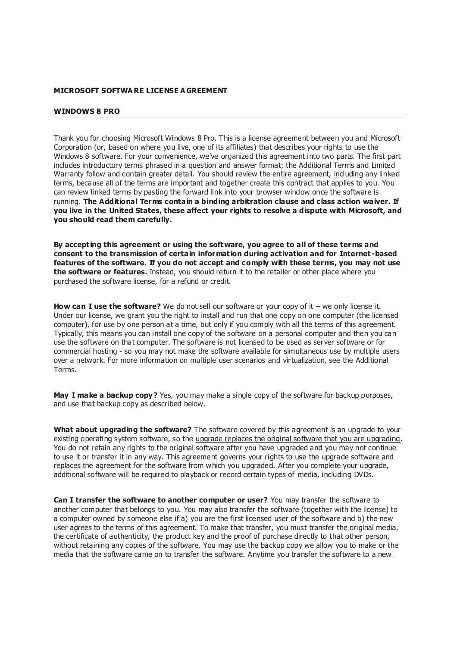### **MICROSOFT SOFTWA RE LICENSE A GREEMENT**

#### **WINDOWS 8 PRO**

Thank you for choosing Microsoft Windows 8 Pro. This is a license agreement between you and Microsoft Corporation (or, based on where you live, one of its affiliates) that describes your rights to use the Windows 8 software. For your convenience, we've organized this agreement into two parts. The first part includes introductory terms phrased in a question and answer format; the Additional Terms and Limited Warranty follow and contain greater detail. You should review the entire agreement, including any linked terms, because all of the terms are important and together create this contract that applies to you. You can review linked terms by pasting the forward link into your browser window once the software is running. **The Additional Terms contain a binding arbitration clause and class action waiver. If you live in the United States, these affect your rights to resolve a dispute with Microsoft, and you should read them carefully.** 

**By accepting this agreement or using the software, you agree to all of these terms and consent to the transmission of certain information during activation and for Internet -based features of the software. If you do not accept and comply with these terms, you may not use the software or features.** Instead, you should return it to the retailer or other place where you purchased the software license, for a refund or credit.

**How can I use the software?** We do not sell our software or your copy of it – we only license it. Under our license, we grant you the right to install and run that one copy on one computer (the licensed computer), for use by one person at a time, but only if you comply with all the terms of this agreement. Typically, this means you can install one copy of the software on a personal computer and then you can use the software on that computer. The software is not licensed to be used as server software or for commercial hosting - so you may not make the software available for simultaneous use by multiple users over a network. For more information on multiple user scenarios and virtualization, see the Additional Terms.

**May I make a backup copy?** Yes, you may make a single copy of the software for backup purposes, and use that backup copy as described below.

**What about upgrading the software?** The software covered by this agreement is an upgrade to your existing operating system software, so the upgrade replaces the original software that you are upgrading. You do not retain any rights to the original software after you have upgraded and you may not continue to use it or transfer it in any way. This agreement governs your rights to use the upgrade software and replaces the agreement for the software from which you upgraded. After you complete your upgrade, additional software will be required to playback or record certain types of media, including DVDs.

**Can I transfer the software to another computer or user?** You may transfer the software to another computer that belongs to you. You may also transfer the software (together with the license) to a computer owned by someone else if a) you are the first licensed user of the software and b) the new user agrees to the terms of this agreement. To make that transfer, you must transfer the original media, the certificate of authenticity, the product key and the proof of purchase directly to that other person, without retaining any copies of the software. You may use the backup copy we allow you to make or the media that the software came on to transfer the software. Anytime you transfer the software to a new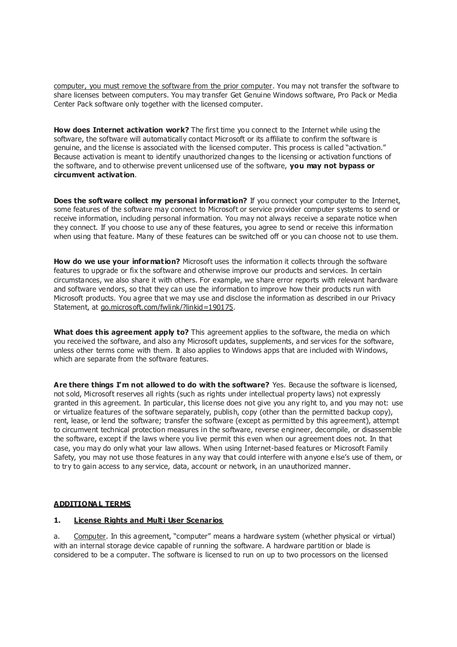computer, you must remove the software from the prior computer. You may not transfer the software to share licenses between computers. You may transfer Get Genuine Windows software, Pro Pack or Media Center Pack software only together with the licensed computer.

**How does Internet activation work?** The first time you connect to the Internet while using the software, the software will automatically contact Microsoft or its affiliate to confirm the software is genuine, and the license is associated with the licensed computer. This process is called "activation." Because activation is meant to identify unauthorized changes to the licensing or activation functions of the software, and to otherwise prevent unlicensed use of the software, **you may not bypass or circumvent activation**.

**Does the software collect my personal information?** If you connect your computer to the Internet, some features of the software may connect to Microsoft or service provider computer systems to send or receive information, including personal information. You may not always receive a separate notice when they connect. If you choose to use any of these features, you agree to send or receive this information when using that feature. Many of these features can be switched off or you can choose not to use them.

**How do we use your information?** Microsoft uses the information it collects through the software features to upgrade or fix the software and otherwise improve our products and services. In certain circumstances, we also share it with others. For example, we share error reports with relevant hardware and software vendors, so that they can use the information to improve how their products run with Microsoft products. You agree that we may use and disclose the information as described in our Privacy Statement, at go.microsoft.com/fwlink/?linkid=190175.

**What does this agreement apply to?** This agreement applies to the software, the media on which you received the software, and also any Microsoft updates, supplements, and services for the software, unless other terms come with them. It also applies to Windows apps that are included with Windows, which are separate from the software features.

**Are there things I'm not allowed to do with the software?** Yes. Because the software is licensed, not sold, Microsoft reserves all rights (such as rights under intellectual property laws) not expressly granted in this agreement. In particular, this license does not give you any right to, and you may not: use or virtualize features of the software separately, publish, copy (other than the permitted backup copy), rent, lease, or lend the software; transfer the software (except as permitted by this agreement), attempt to circumvent technical protection measures in the software, reverse engineer, decompile, or disassemble the software, except if the laws where you live permit this even when our agreement does not. In that case, you may do only what your law allows. When using Internet-based features or Microsoft Family Safety, you may not use those features in any way that could interfere with anyone e lse's use of them, or to try to gain access to any service, data, account or network, in an unauthorized manner.

## **ADDITIONA L TERMS**

### **1. License Rights and Multi User Scenarios**

a. Computer. In this agreement, "computer" means a hardware system (whether physical or virtual) with an internal storage device capable of running the software. A hardware partition or blade is considered to be a computer. The software is licensed to run on up to two processors on the licensed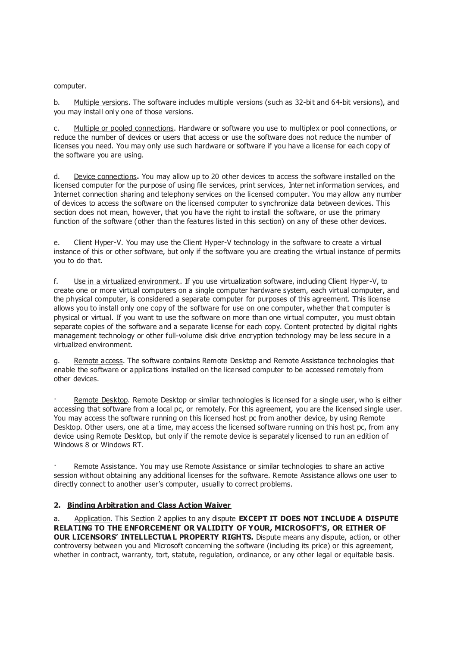computer.

b. Multiple versions. The software includes multiple versions (such as 32-bit and 64-bit versions), and you may install only one of those versions.

c. Multiple or pooled connections. Hardware or software you use to multiplex or pool connections, or reduce the number of devices or users that access or use the software does not reduce the number of licenses you need. You may only use such hardware or software if you have a license for each copy of the software you are using.

d. Device connections**.** You may allow up to 20 other devices to access the software installed on the licensed computer for the purpose of using file services, print services, Internet information services, and Internet connection sharing and telephony services on the licensed computer. You may allow any number of devices to access the software on the licensed computer to synchronize data between devices. This section does not mean, however, that you have the right to install the software, or use the primary function of the software (other than the features listed in this section) on any of these other devices.

e. Client Hyper-V. You may use the Client Hyper-V technology in the software to create a virtual instance of this or other software, but only if the software you are creating the virtual instance of permits you to do that.

f. Use in a virtualized environment. If you use virtualization software, including Client Hyper-V, to create one or more virtual computers on a single computer hardware system, each virtual computer, and the physical computer, is considered a separate computer for purposes of this agreement. This license allows you to install only one copy of the software for use on one computer, whether that computer is physical or virtual. If you want to use the software on more than one virtual computer, you must obtain separate copies of the software and a separate license for each copy. Content protected by digital rights management technology or other full-volume disk drive encryption technology may be less secure in a virtualized environment.

g. Remote access. The software contains Remote Desktop and Remote Assistance technologies that enable the software or applications installed on the licensed computer to be accessed remotely from other devices.

Remote Desktop. Remote Desktop or similar technologies is licensed for a single user, who is either accessing that software from a local pc, or remotely. For this agreement, you are the licensed single user. You may access the software running on this licensed host pc from another device, by using Remote Desktop. Other users, one at a time, may access the licensed software running on this host pc, from any device using Remote Desktop, but only if the remote device is separately licensed to run an edition of Windows 8 or Windows RT.

Remote Assistance. You may use Remote Assistance or similar technologies to share an active session without obtaining any additional licenses for the software. Remote Assistance allows one user to directly connect to another user's computer, usually to correct problems.

### **2. Binding Arbitration and Class Action Waiver**

a. Application. This Section 2 applies to any dispute **EXCEPT IT DOES NOT INCLUDE A DISPUTE RELATING TO THE ENFORCEMENT OR VALIDITY OF YOUR, MICROSOFT'S, OR EITHER OF OUR LICENSORS' INTELLECTUA L PROPERTY RIGHTS.** Dispute means any dispute, action, or other controversy between you and Microsoft concerning the software (including its price) or this agreement, whether in contract, warranty, tort, statute, regulation, ordinance, or any other legal or equitable basis.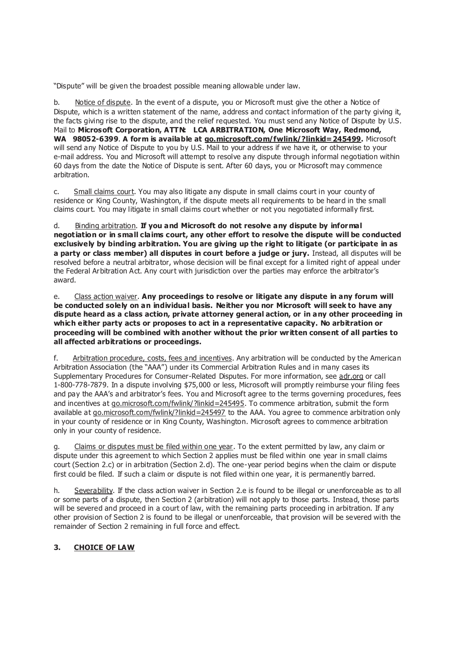"Dispute" will be given the broadest possible meaning allowable under law.

b. Notice of dispute. In the event of a dispute, you or Microsoft must give the other a Notice of Dispute, which is a written statement of the name, address and contact information of the party giving it, the facts giving rise to the dispute, and the relief requested. You must send any Notice of Dispute by U.S. Mail to **Microsoft Corporation, ATTN: LCA ARBITRATION, One Microsoft Way, Redmond, WA 98052-6399**. **A form is available at go.microsoft.com/fwlink/?linkid=245499.** Microsoft will send any Notice of Dispute to you by U.S. Mail to your address if we have it, or otherwise to your e-mail address. You and Microsoft will attempt to resolve any dispute through informal negotiation within 60 days from the date the Notice of Dispute is sent. After 60 days, you or Microsoft may commence arbitration.

c. Small claims court. You may also litigate any dispute in small claims court in your county of residence or King County, Washington, if the dispute meets all requirements to be heard in the small claims court. You may litigate in small claims court whether or not you negotiated informally first.

d. Binding arbitration. **If you and Microsoft do not resolve any dispute by informal negotiation or in small claims court, any other effort to resolve the dispute will be conducted exclusively by binding arbitration. You are giving up the right to litigate (or participate in as a party or class member) all disputes in court before a judge or jury.** Instead, all disputes will be resolved before a neutral arbitrator, whose decision will be final except for a limited right of appeal under the Federal Arbitration Act. Any court with jurisdiction over the parties may enforce the arbitrator's award.

e. Class action waiver. **Any proceedings to resolve or litigate any dispute in any forum will be conducted solely on an individual basis. Neither you nor Microsoft will seek to have any dispute heard as a class action, private attorney general action, or in any other proceeding in which either party acts or proposes to act in a representative capacity. No arbitration or proceeding will be combined with another without the prior written consent of all parties to all affected arbitrations or proceedings.** 

f. Arbitration procedure, costs, fees and incentives. Any arbitration will be conducted by the American Arbitration Association (the "AAA") under its Commercial Arbitration Rules and in many cases its Supplementary Procedures for Consumer-Related Disputes. For more information, see adr.org or call 1-800-778-7879. In a dispute involving \$75,000 or less, Microsoft will promptly reimburse your filing fees and pay the AAA's and arbitrator's fees. You and Microsoft agree to the terms governing procedures, fees and incentives at go.microsoft.com/fwlink/?linkid=245495. To commence arbitration, submit the form available at go.microsoft.com/fwlink/?linkid=245497 to the AAA. You agree to commence arbitration only in your county of residence or in King County, Washington. Microsoft agrees to commence arbitration only in your county of residence.

g. Claims or disputes must be filed within one year. To the extent permitted by law, any claim or dispute under this agreement to which Section 2 applies must be filed within one year in small claims court (Section 2.c) or in arbitration (Section 2.d). The one-year period begins when the claim or dispute first could be filed. If such a claim or dispute is not filed within one year, it is permanently barred.

h. Severability. If the class action waiver in Section 2.e is found to be illegal or unenforceable as to all or some parts of a dispute, then Section 2 (arbitration) will not apply to those parts. Instead, those parts will be severed and proceed in a court of law, with the remaining parts proceeding in arbitration. If any other provision of Section 2 is found to be illegal or unenforceable, that provision will be severed with the remainder of Section 2 remaining in full force and effect.

## **3. CHOICE OF LAW**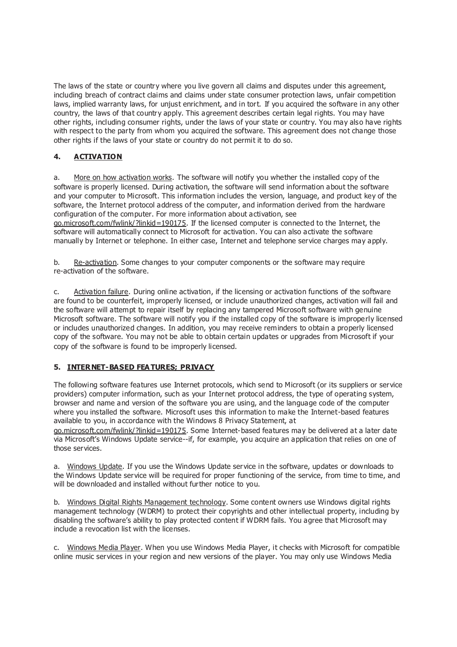The laws of the state or country where you live govern all claims and disputes under this agreement, including breach of contract claims and claims under state consumer protection laws, unfair competition laws, implied warranty laws, for unjust enrichment, and in tort. If you acquired the software in any other country, the laws of that country apply. This agreement describes certain legal rights. You may have other rights, including consumer rights, under the laws of your state or country. You may also have rights with respect to the party from whom you acquired the software. This agreement does not change those other rights if the laws of your state or country do not permit it to do so.

# **4. ACTIVATION**

a. More on how activation works. The software will notify you whether the installed copy of the software is properly licensed. During activation, the software will send information about the software and your computer to Microsoft. This information includes the version, language, and product key of the software, the Internet protocol address of the computer, and information derived from the hardware configuration of the computer. For more information about activation, see go.microsoft.com/fwlink/?linkid=190175. If the licensed computer is connected to the Internet, the software will automatically connect to Microsoft for activation. You can also activate the software manually by Internet or telephone. In either case, Internet and telephone service charges may apply.

b. Re-activation. Some changes to your computer components or the software may require re-activation of the software.

c. Activation failure. During online activation, if the licensing or activation functions of the software are found to be counterfeit, improperly licensed, or include unauthorized changes, activation will fail and the software will attempt to repair itself by replacing any tampered Microsoft software with genuine Microsoft software. The software will notify you if the installed copy of the software is improperly licensed or includes unauthorized changes. In addition, you may receive reminders to obtain a properly licensed copy of the software. You may not be able to obtain certain updates or upgrades from Microsoft if your copy of the software is found to be improperly licensed.

## **5. INTERNET-BASED FEA TURES; PRIVACY**

The following software features use Internet protocols, which send to Microsoft (or its suppliers or service providers) computer information, such as your Internet protocol address, the type of operating system, browser and name and version of the software you are using, and the language code of the computer where you installed the software. Microsoft uses this information to make the Internet-based features available to you, in accordance with the Windows 8 Privacy Statement, at

go.microsoft.com/fwlink/?linkid=190175. Some Internet-based features may be delivered at a later date via Microsoft's Windows Update service--if, for example, you acquire an application that relies on one of those services.

a. Windows Update. If you use the Windows Update service in the software, updates or downloads to the Windows Update service will be required for proper functioning of the service, from time to time, and will be downloaded and installed without further notice to you.

b. Windows Digital Rights Management technology. Some content owners use Windows digital rights management technology (WDRM) to protect their copyrights and other intellectual property, including by disabling the software's ability to play protected content if WDRM fails. You agree that Microsoft may include a revocation list with the licenses.

c. Windows Media Player. When you use Windows Media Player, it checks with Microsoft for compatible online music services in your region and new versions of the player. You may only use Windows Media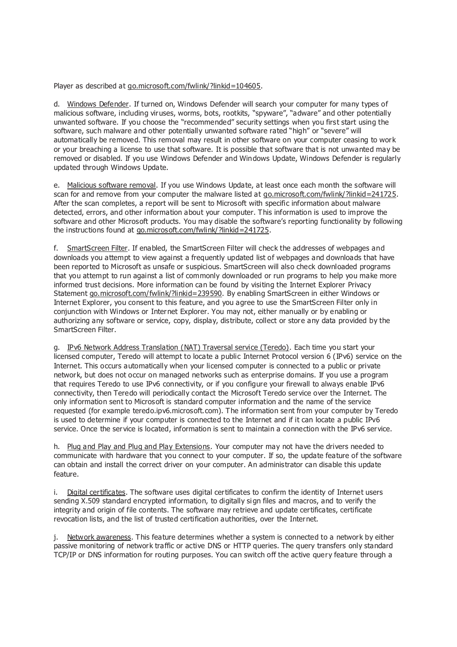Player as described at go.microsoft.com/fwlink/?linkid=104605.

d. Windows Defender. If turned on, Windows Defender will search your computer for many types of malicious software, including viruses, worms, bots, rootkits, "spyware", "adware" and other potentially unwanted software. If you choose the "recommended" security settings when you first start using the software, such malware and other potentially unwanted software rated "high" or "severe" will automatically be removed. This removal may result in other software on your computer ceasing to work or your breaching a license to use that software. It is possible that software that is not unwanted may be removed or disabled. If you use Windows Defender and Windows Update, Windows Defender is regularly updated through Windows Update.

e. Malicious software removal. If you use Windows Update, at least once each month the software will scan for and remove from your computer the malware listed at go.microsoft.com/fwlink/?linkid=241725. After the scan completes, a report will be sent to Microsoft with specific information about malware detected, errors, and other information about your computer. This information is used to improve the software and other Microsoft products. You may disable the software's reporting functionality by following the instructions found at go.microsoft.com/fwlink/?linkid=241725.

f. SmartScreen Filter. If enabled, the SmartScreen Filter will check the addresses of webpages and downloads you attempt to view against a frequently updated list of webpages and downloads that have been reported to Microsoft as unsafe or suspicious. SmartScreen will also check downloaded programs that you attempt to run against a list of commonly downloaded or run programs to help you make more informed trust decisions. More information can be found by visiting the Internet Explorer Privacy Statement go.microsoft.com/fwlink/?linkid=239590. By enabling SmartScreen in either Windows or Internet Explorer, you consent to this feature, and you agree to use the SmartScreen Filter only in conjunction with Windows or Internet Explorer. You may not, either manually or by enabling or authorizing any software or service, copy, display, distribute, collect or store any data provided by the SmartScreen Filter.

g. IPv6 Network Address Translation (NAT) Traversal service (Teredo). Each time you start your licensed computer, Teredo will attempt to locate a public Internet Protocol version 6 (IPv6) service on the Internet. This occurs automatically when your licensed computer is connected to a public or private network, but does not occur on managed networks such as enterprise domains. If you use a program that requires Teredo to use IPv6 connectivity, or if you configure your firewall to always enable IPv6 connectivity, then Teredo will periodically contact the Microsoft Teredo service over the Internet. The only information sent to Microsoft is standard computer information and the name of the service requested (for example teredo.ipv6.microsoft.com). The information sent from your computer by Teredo is used to determine if your computer is connected to the Internet and if it can locate a public IPv6 service. Once the service is located, information is sent to maintain a connection with the IPv6 service.

h. Plug and Play and Plug and Play Extensions. Your computer may not have the drivers needed to communicate with hardware that you connect to your computer. If so, the update feature of the software can obtain and install the correct driver on your computer. An administrator can disable this update feature.

i. Digital certificates. The software uses digital certificates to confirm the identity of Internet users sending X.509 standard encrypted information, to digitally sign files and macros, and to verify the integrity and origin of file contents. The software may retrieve and update certificates, certificate revocation lists, and the list of trusted certification authorities, over the Internet.

j. Network awareness. This feature determines whether a system is connected to a network by either passive monitoring of network traffic or active DNS or HTTP queries. The query transfers only standard TCP/IP or DNS information for routing purposes. You can switch off the active query feature through a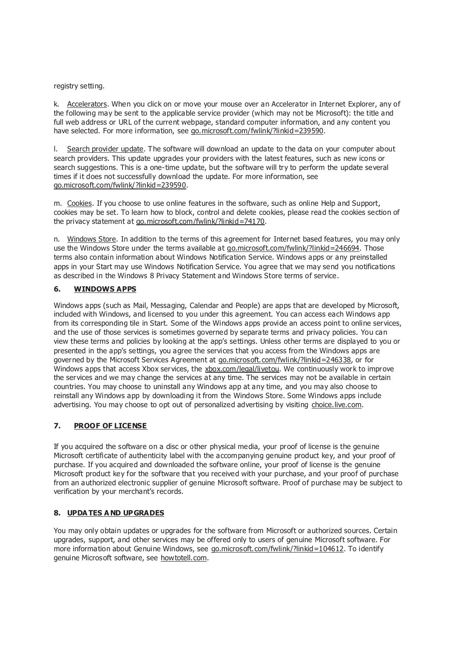### registry setting.

k. Accelerators. When you click on or move your mouse over an Accelerator in Internet Explorer, any of the following may be sent to the applicable service provider (which may not be Microsoft): the title and full web address or URL of the current webpage, standard computer information, and any content you have selected. For more information, see go.microsoft.com/fwlink/?linkid=239590.

l. Search provider update. The software will download an update to the data on your computer about search providers. This update upgrades your providers with the latest features, such as new icons or search suggestions. This is a one-time update, but the software will try to perform the update several times if it does not successfully download the update. For more information, see go.microsoft.com/fwlink/?linkid=239590.

m. Cookies. If you choose to use online features in the software, such as online Help and Support, cookies may be set. To learn how to block, control and delete cookies, please read the cookies section of the privacy statement at go.microsoft.com/fwlink/?linkid=74170.

n. Windows Store. In addition to the terms of this agreement for Internet based features, you may only use the Windows Store under the terms available at go.microsoft.com/fwlink/?linkid=246694. Those terms also contain information about Windows Notification Service. Windows apps or any preinstalled apps in your Start may use Windows Notification Service. You agree that we may send you notifications as described in the Windows 8 Privacy Statement and Windows Store terms of service.

# **6. WINDOWS APPS**

Windows apps (such as Mail, Messaging, Calendar and People) are apps that are developed by Microsoft, included with Windows, and licensed to you under this agreement. You can access each Windows app from its corresponding tile in Start. Some of the Windows apps provide an access point to online services, and the use of those services is sometimes governed by separate terms and privacy policies. You can view these terms and policies by looking at the app's settings. Unless other terms are displayed to you or presented in the app's settings, you agree the services that you access from the Windows apps are governed by the Microsoft Services Agreement at go.microsoft.com/fwlink/?linkid=246338, or for Windows apps that access Xbox services, the xbox.com/legal/livetou. We continuously work to improve the services and we may change the services at any time. The services may not be available in certain countries. You may choose to uninstall any Windows app at any time, and you may also choose to reinstall any Windows app by downloading it from the Windows Store. Some Windows apps include advertising. You may choose to opt out of personalized advertising by visiting choice.live.com.

## **7. PROOF OF LICENSE**

If you acquired the software on a disc or other physical media, your proof of license is the genuine Microsoft certificate of authenticity label with the accompanying genuine product key, and your proof of purchase. If you acquired and downloaded the software online, your proof of license is the genuine Microsoft product key for the software that you received with your purchase, and your proof of purchase from an authorized electronic supplier of genuine Microsoft software. Proof of purchase may be subject to verification by your merchant's records.

## **8. UPDA TES A ND UPGRADES**

You may only obtain updates or upgrades for the software from Microsoft or authorized sources. Certain upgrades, support, and other services may be offered only to users of genuine Microsoft software. For more information about Genuine Windows, see go.microsoft.com/fwlink/?linkid=104612. To identify genuine Microsoft software, see howtotell.com.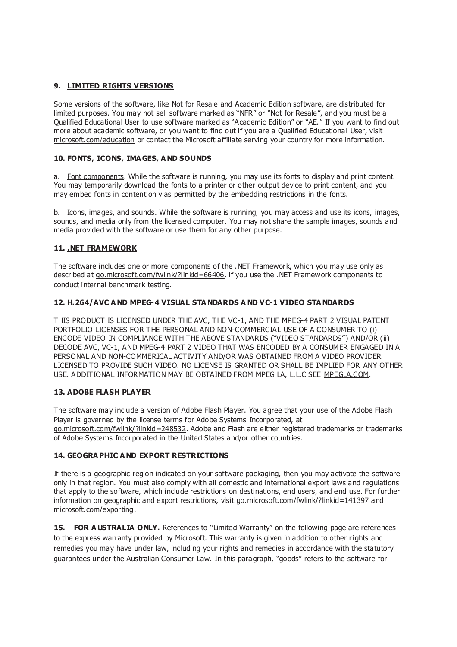# **9. LIMITED RIGHTS VERSIONS**

Some versions of the software, like Not for Resale and Academic Edition software, are distributed for limited purposes. You may not sell software marked as "NFR" or "Not for Resale", and you must be a Qualified Educational User to use software marked as "Academic Edition" or "AE." If you want to find out more about academic software, or you want to find out if you are a Qualified Educational User, visit microsoft.com/education or contact the Microsoft affiliate serving your country for more information.

# **10. FONTS, ICONS, IMA GES, A ND SOUNDS**

a. Font components. While the software is running, you may use its fonts to display and print content. You may temporarily download the fonts to a printer or other output device to print content, and you may embed fonts in content only as permitted by the embedding restrictions in the fonts.

b. Icons, images, and sounds. While the software is running, you may access and use its icons, images, sounds, and media only from the licensed computer. You may not share the sample images, sounds and media provided with the software or use them for any other purpose.

# **11. .NET FRAMEWORK**

The software includes one or more components of the .NET Framework, which you may use only as described at go.microsoft.com/fwlink/?linkid=66406, if you use the .NET Framework components to conduct internal benchmark testing.

# **12. H.264/AVC A ND MPEG-4 VISUAL STA NDARDS A ND VC-1 VIDEO STA NDARDS**

THIS PRODUCT IS LICENSED UNDER THE AVC, THE VC-1, AND THE MPEG-4 PART 2 VISUAL PATENT PORTFOLIO LICENSES FOR THE PERSONAL AND NON-COMMERCIAL USE OF A CONSUMER TO (i) ENCODE VIDEO IN COMPLIANCE WITH THE ABOVE STANDARDS ("VIDEO STANDARDS") AND/OR (ii) DECODE AVC, VC-1, AND MPEG-4 PART 2 VIDEO THAT WAS ENCODED BY A CONSUMER ENGAGED IN A PERSONAL AND NON-COMMERICAL ACTIVITY AND/OR WAS OBTAINED FROM A VIDEO PROVIDER LICENSED TO PROVIDE SUCH VIDEO. NO LICENSE IS GRANTED OR SHALL BE IMPLIED FOR ANY OTHER USE. ADDITIONAL INFORMATION MAY BE OBTAINED FROM MPEG LA, L.L.C SEE MPEGLA.COM.

## **13. ADOBE FLASH PLAYER**

The software may include a version of Adobe Flash Player. You agree that your use of the Adobe Flash Player is governed by the license terms for Adobe Systems Incorporated, at go.microsoft.com/fwlink/?linkid=248532. Adobe and Flash are either registered trademarks or trademarks of Adobe Systems Incorporated in the United States and/or other countries.

## **14. GEOGRA PHIC A ND EXPORT RESTRICTIONS**

If there is a geographic region indicated on your software packaging, then you may activate the software only in that region. You must also comply with all domestic and international export laws and regulations that apply to the software, which include restrictions on destinations, end users, and end use. For further information on geographic and export restrictions, visit go.microsoft.com/fwlink/?linkid=141397 and microsoft.com/exporting.

**15. FOR A USTRALIA ONLY.** References to "Limited Warranty" on the following page are references to the express warranty provided by Microsoft. This warranty is given in addition to other rights and remedies you may have under law, including your rights and remedies in accordance with the statutory guarantees under the Australian Consumer Law. In this paragraph, "goods" refers to the software for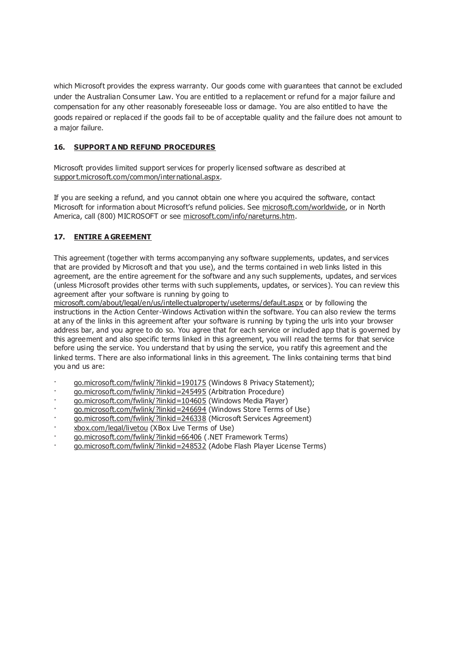which Microsoft provides the express warranty. Our goods come with guarantees that cannot be excluded under the Australian Consumer Law. You are entitled to a replacement or refund for a major failure and compensation for any other reasonably foreseeable loss or damage. You are also entitled to have the goods repaired or replaced if the goods fail to be of acceptable quality and the failure does not amount to a major failure.

# **16. SUPPORT A ND REFUND PROCEDURES**

Microsoft provides limited support services for properly licensed software as described at support.microsoft.com/common/international.aspx.

If you are seeking a refund, and you cannot obtain one where you acquired the software, contact Microsoft for information about Microsoft's refund policies. See microsoft.com/worldwide, or in North America, call (800) MICROSOFT or see microsoft.com/info/nareturns.htm.

# **17. ENTIRE A GREEMENT**

This agreement (together with terms accompanying any software supplements, updates, and services that are provided by Microsoft and that you use), and the terms contained in web links listed in this agreement, are the entire agreement for the software and any such supplements, updates, and services (unless Microsoft provides other terms with such supplements, updates, or services). You can review this agreement after your software is running by going to

microsoft.com/about/legal/en/us/intellectualproperty/useterms/default.aspx or by following the instructions in the Action Center-Windows Activation within the software. You can also review the terms at any of the links in this agreement after your software is running by typing the urls into your browser address bar, and you agree to do so. You agree that for each service or included app that is governed by this agreement and also specific terms linked in this agreement, you will read the terms for that service before using the service. You understand that by using the service, you ratify this agreement and the linked terms. There are also informational links in this agreement. The links containing terms that bind you and us are:

- · go.microsoft.com/fwlink/?linkid=190175 (Windows 8 Privacy Statement);
- · go.microsoft.com/fwlink/?linkid=245495 (Arbitration Procedure)
- · go.microsoft.com/fwlink/?linkid=104605 (Windows Media Player)
- go.microsoft.com/fwlink/?linkid=246694 (Windows Store Terms of Use)
- · go.microsoft.com/fwlink/?linkid=246338 (Microsoft Services Agreement)
- · xbox.com/legal/livetou (XBox Live Terms of Use)
- · go.microsoft.com/fwlink/?linkid=66406 (.NET Framework Terms)
- · go.microsoft.com/fwlink/?linkid=248532 (Adobe Flash Player License Terms)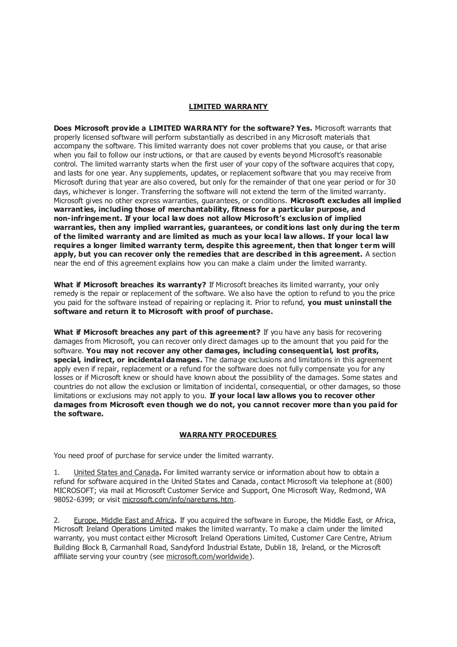# **LIMITED WARRA NTY**

**Does Microsoft provide a LIMITED WARRA NTY for the software? Yes.** Microsoft warrants that properly licensed software will perform substantially as described in any Microsoft materials that accompany the software. This limited warranty does not cover problems that you cause, or that arise when you fail to follow our instructions, or that are caused by events beyond Microsoft's reasonable control. The limited warranty starts when the first user of your copy of the software acquires that copy, and lasts for one year. Any supplements, updates, or replacement software that you may receive from Microsoft during that year are also covered, but only for the remainder of that one year period or for 30 days, whichever is longer. Transferring the software will not extend the term of the limited warranty. Microsoft gives no other express warranties, guarantees, or conditions. **Microsoft excludes all implied warranties, including those of merchantability, fitness for a particular purpose, and non- infringement. If your local law does not allow Microsoft's exclusion of implied warranties, then any implied warranties, guarantees, or conditions last only during the term of the limited warranty and are limited as much as your local law allows. If your local law**  requires a longer limited warranty term, despite this agreement, then that longer term will **apply, but you can recover only the remedies that are described in this agreement.** A section near the end of this agreement explains how you can make a claim under the limited warranty.

**What if Microsoft breaches its warranty?** If Microsoft breaches its limited warranty, your only remedy is the repair or replacement of the software. We also have the option to refund to you the price you paid for the software instead of repairing or replacing it. Prior to refund, **you must uninstall the software and return it to Microsoft with proof of purchase.**

**What if Microsoft breaches any part of this agreement?** If you have any basis for recovering damages from Microsoft, you can recover only direct damages up to the amount that you paid for the software. **You may not recover any other damages, including consequential, lost profits, special, indirect, or incidental damages.** The damage exclusions and limitations in this agreement apply even if repair, replacement or a refund for the software does not fully compensate you for any losses or if Microsoft knew or should have known about the possibility of the damages. Some states and countries do not allow the exclusion or limitation of incidental, consequential, or other damages, so those limitations or exclusions may not apply to you. **If your local law allows you to recover other damages from Microsoft even though we do not, you cannot recover more than you paid for the software.** 

### **WARRA NTY PROCEDURES**

You need proof of purchase for service under the limited warranty.

1. United States and Canada**.** For limited warranty service or information about how to obtain a refund for software acquired in the United States and Canada, contact Microsoft via telephone at (800) MICROSOFT; via mail at Microsoft Customer Service and Support, One Microsoft Way, Redmond, WA 98052-6399; or visit microsoft.com/info/nareturns.htm.

2. Europe, Middle East and Africa**.** If you acquired the software in Europe, the Middle East, or Africa, Microsoft Ireland Operations Limited makes the limited warranty. To make a claim under the limited warranty, you must contact either Microsoft Ireland Operations Limited, Customer Care Centre, Atrium Building Block B, Carmanhall Road, Sandyford Industrial Estate, Dublin 18, Ireland, or the Microsoft affiliate serving your country (see microsoft.com/worldwide).